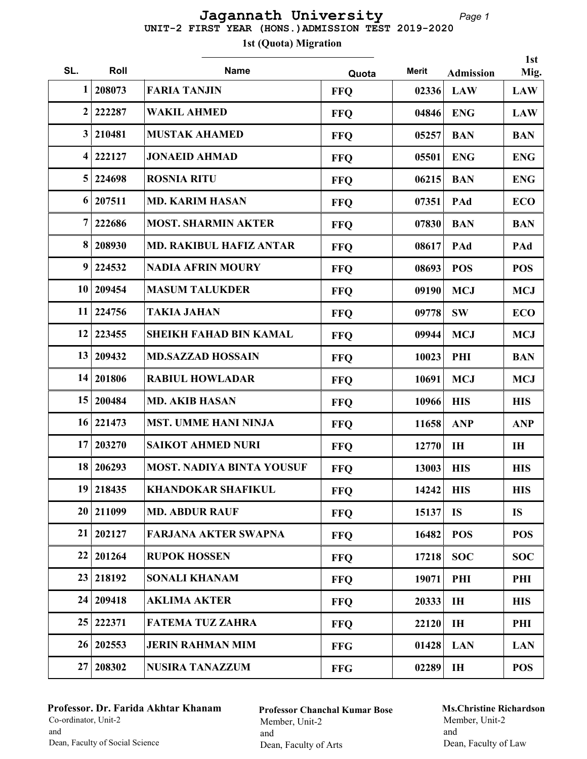## Page 1 UNIT-2 FIRST YEAR (HONS.)ADMISSION TEST 2019-2020 Jagannath University

1st (Quota) Migration

|                 |             |                                  |            |              |                  | 1st        |
|-----------------|-------------|----------------------------------|------------|--------------|------------------|------------|
| SL.             | Roll        | <b>Name</b>                      | Quota      | <b>Merit</b> | <b>Admission</b> | Mig.       |
| 1               | 208073      | <b>FARIA TANJIN</b>              | <b>FFQ</b> | 02336        | <b>LAW</b>       | <b>LAW</b> |
| $\mathbf{2}$    | 222287      | <b>WAKIL AHMED</b>               | <b>FFQ</b> | 04846        | <b>ENG</b>       | <b>LAW</b> |
| $\mathbf{3}$    | 210481      | <b>MUSTAK AHAMED</b>             | <b>FFQ</b> | 05257        | <b>BAN</b>       | <b>BAN</b> |
| 4               | 222127      | <b>JONAEID AHMAD</b>             | <b>FFQ</b> | 05501        | <b>ENG</b>       | <b>ENG</b> |
| $\overline{5}$  | 224698      | <b>ROSNIA RITU</b>               | <b>FFQ</b> | 06215        | <b>BAN</b>       | <b>ENG</b> |
| 6               | 207511      | <b>MD. KARIM HASAN</b>           | <b>FFQ</b> | 07351        | PAd              | <b>ECO</b> |
| 7               | 222686      | <b>MOST. SHARMIN AKTER</b>       | <b>FFQ</b> | 07830        | <b>BAN</b>       | <b>BAN</b> |
| 8               | 208930      | <b>MD. RAKIBUL HAFIZ ANTAR</b>   | <b>FFQ</b> | 08617        | PAd              | PAd        |
| 9               | 224532      | <b>NADIA AFRIN MOURY</b>         | <b>FFQ</b> | 08693        | <b>POS</b>       | <b>POS</b> |
| 10              | 209454      | <b>MASUM TALUKDER</b>            | <b>FFQ</b> | 09190        | <b>MCJ</b>       | <b>MCJ</b> |
| 11              | 224756      | <b>TAKIA JAHAN</b>               | <b>FFQ</b> | 09778        | <b>SW</b>        | <b>ECO</b> |
| 12              | 223455      | <b>SHEIKH FAHAD BIN KAMAL</b>    | <b>FFQ</b> | 09944        | <b>MCJ</b>       | <b>MCJ</b> |
|                 | 13   209432 | <b>MD.SAZZAD HOSSAIN</b>         | <b>FFQ</b> | 10023        | PHI              | <b>BAN</b> |
|                 | 14 201806   | <b>RABIUL HOWLADAR</b>           | <b>FFQ</b> | 10691        | <b>MCJ</b>       | <b>MCJ</b> |
| 15 <sup>1</sup> | 200484      | <b>MD. AKIB HASAN</b>            | <b>FFQ</b> | 10966        | <b>HIS</b>       | <b>HIS</b> |
|                 | 16 221473   | <b>MST. UMME HANI NINJA</b>      | <b>FFQ</b> | 11658        | <b>ANP</b>       | <b>ANP</b> |
| 17              | 203270      | <b>SAIKOT AHMED NURI</b>         | <b>FFO</b> | 12770        | IH               | IH         |
| 18              | 206293      | <b>MOST. NADIYA BINTA YOUSUF</b> | <b>FFQ</b> | 13003        | <b>HIS</b>       | <b>HIS</b> |
|                 | 19 218435   | <b>KHANDOKAR SHAFIKUL</b>        | <b>FFO</b> | 14242        | <b>HIS</b>       | <b>HIS</b> |
|                 | 20 211099   | <b>MD. ABDUR RAUF</b>            | <b>FFQ</b> | 15137        | <b>IS</b>        | <b>IS</b>  |
|                 | 21   202127 | <b>FARJANA AKTER SWAPNA</b>      | <b>FFQ</b> | 16482        | <b>POS</b>       | <b>POS</b> |
| 22              | 201264      | <b>RUPOK HOSSEN</b>              | <b>FFQ</b> | 17218        | <b>SOC</b>       | <b>SOC</b> |
|                 | 23 218192   | <b>SONALI KHANAM</b>             | <b>FFO</b> | 19071        | PHI              | PHI        |
|                 | 24   209418 | <b>AKLIMA AKTER</b>              | <b>FFO</b> | 20333        | IH               | <b>HIS</b> |
| 25              | 222371      | <b>FATEMA TUZ ZAHRA</b>          | <b>FFQ</b> | 22120        | IH               | PHI        |
|                 | 26 202553   | <b>JERIN RAHMAN MIM</b>          | <b>FFG</b> | 01428        | <b>LAN</b>       | <b>LAN</b> |
| 27              | 208302      | <b>NUSIRA TANAZZUM</b>           | <b>FFG</b> | 02289        | IH               | <b>POS</b> |

## Professor. Dr. Farida Akhtar Khanam Co-ordinator, Unit-2 and Dean, Faculty of Social Science

Professor Chanchal Kumar Bose Member, Unit-2 and Dean, Faculty of Arts

## Ms.Christine Richardson Member, Unit-2 and Dean, Faculty of Law